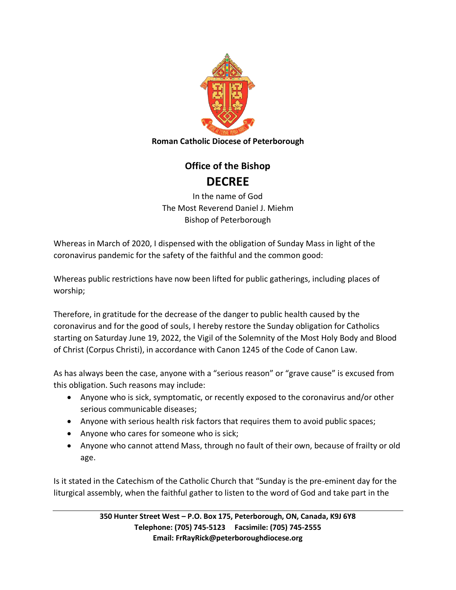

## **Office of the Bishop DECREE**

In the name of God The Most Reverend Daniel J. Miehm Bishop of Peterborough

Whereas in March of 2020, I dispensed with the obligation of Sunday Mass in light of the coronavirus pandemic for the safety of the faithful and the common good:

Whereas public restrictions have now been lifted for public gatherings, including places of worship;

Therefore, in gratitude for the decrease of the danger to public health caused by the coronavirus and for the good of souls, I hereby restore the Sunday obligation for Catholics starting on Saturday June 19, 2022, the Vigil of the Solemnity of the Most Holy Body and Blood of Christ (Corpus Christi), in accordance with Canon 1245 of the Code of Canon Law.

As has always been the case, anyone with a "serious reason" or "grave cause" is excused from this obligation. Such reasons may include:

- Anyone who is sick, symptomatic, or recently exposed to the coronavirus and/or other serious communicable diseases;
- Anyone with serious health risk factors that requires them to avoid public spaces;
- Anyone who cares for someone who is sick;
- Anyone who cannot attend Mass, through no fault of their own, because of frailty or old age.

Is it stated in the Catechism of the Catholic Church that "Sunday is the pre-eminent day for the liturgical assembly, when the faithful gather to listen to the word of God and take part in the

> **350 Hunter Street West – P.O. Box 175, Peterborough, ON, Canada, K9J 6Y8 Telephone: (705) 745-5123 Facsimile: (705) 745-2555 Email: FrRayRick@peterboroughdiocese.org**